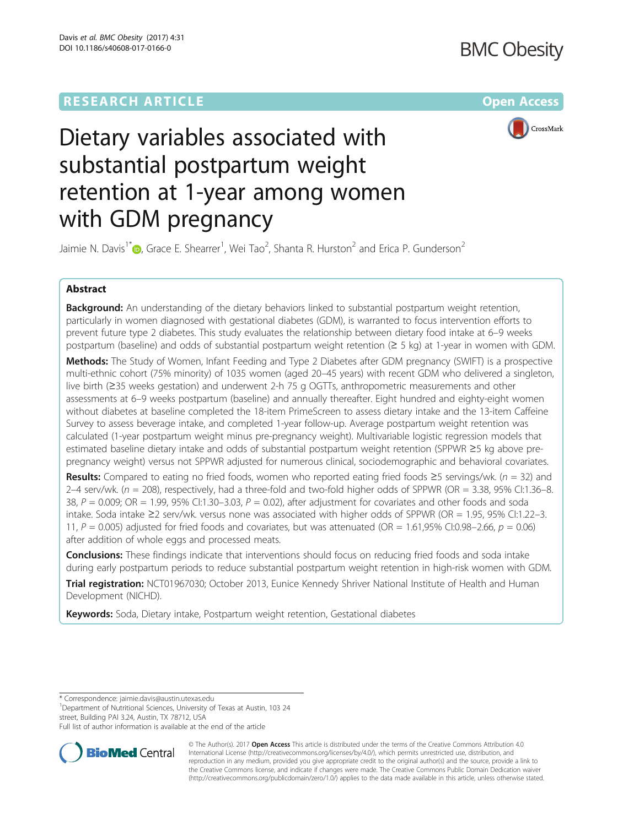## **RESEARCH ARTICLE Example 2014 12:30 The Contract of Contract Article 2014**



# Dietary variables associated with substantial postpartum weight retention at 1-year among women with GDM pregnancy

Jaimie N. Davis<sup>1[\\*](http://orcid.org/0000-0002-9103-696X)</sup> $\bm{\odot}$ , Grace E. Shearrer<sup>1</sup>, Wei Tao<sup>2</sup>, Shanta R. Hurston<sup>2</sup> and Erica P. Gunderson<sup>2</sup>

## Abstract

**Background:** An understanding of the dietary behaviors linked to substantial postpartum weight retention, particularly in women diagnosed with gestational diabetes (GDM), is warranted to focus intervention efforts to prevent future type 2 diabetes. This study evaluates the relationship between dietary food intake at 6–9 weeks postpartum (baseline) and odds of substantial postpartum weight retention (≥ 5 kg) at 1-year in women with GDM.

Methods: The Study of Women, Infant Feeding and Type 2 Diabetes after GDM pregnancy (SWIFT) is a prospective multi-ethnic cohort (75% minority) of 1035 women (aged 20–45 years) with recent GDM who delivered a singleton, live birth (≥35 weeks gestation) and underwent 2-h 75 g OGTTs, anthropometric measurements and other assessments at 6–9 weeks postpartum (baseline) and annually thereafter. Eight hundred and eighty-eight women without diabetes at baseline completed the 18-item PrimeScreen to assess dietary intake and the 13-item Caffeine Survey to assess beverage intake, and completed 1-year follow-up. Average postpartum weight retention was calculated (1-year postpartum weight minus pre-pregnancy weight). Multivariable logistic regression models that estimated baseline dietary intake and odds of substantial postpartum weight retention (SPPWR ≥5 kg above prepregnancy weight) versus not SPPWR adjusted for numerous clinical, sociodemographic and behavioral covariates.

Results: Compared to eating no fried foods, women who reported eating fried foods ≥5 servings/wk. ( $n = 32$ ) and  $2-4$  serv/wk. ( $n = 208$ ), respectively, had a three-fold and two-fold higher odds of SPPWR (OR = 3.38, 95% CI:1.36-8. 38,  $P = 0.009$ ; OR = 1.99, 95% CI:1.30–3.03,  $P = 0.02$ ), after adjustment for covariates and other foods and soda intake. Soda intake ≥2 serv/wk. versus none was associated with higher odds of SPPWR (OR = 1.95, 95% CI:1.22–3. 11,  $P = 0.005$ ) adjusted for fried foods and covariates, but was attenuated (OR = 1.61,95% CI:0.98–2.66,  $p = 0.06$ ) after addition of whole eggs and processed meats.

**Conclusions:** These findings indicate that interventions should focus on reducing fried foods and soda intake during early postpartum periods to reduce substantial postpartum weight retention in high-risk women with GDM.

Trial registration: [NCT01967030](https://clinicaltrials.gov/ct2/show/NCT01967030?term=SWIFT&cond=Breastfeeding&cntry1=NA%3AUS&rank=1); October 2013, Eunice Kennedy Shriver National Institute of Health and Human Development (NICHD).

Keywords: Soda, Dietary intake, Postpartum weight retention, Gestational diabetes

<sup>1</sup>Department of Nutritional Sciences, University of Texas at Austin, 103 24 street, Building PAI 3.24, Austin, TX 78712, USA

Full list of author information is available at the end of the article



© The Author(s). 2017 **Open Access** This article is distributed under the terms of the Creative Commons Attribution 4.0 International License [\(http://creativecommons.org/licenses/by/4.0/](http://creativecommons.org/licenses/by/4.0/)), which permits unrestricted use, distribution, and reproduction in any medium, provided you give appropriate credit to the original author(s) and the source, provide a link to the Creative Commons license, and indicate if changes were made. The Creative Commons Public Domain Dedication waiver [\(http://creativecommons.org/publicdomain/zero/1.0/](http://creativecommons.org/publicdomain/zero/1.0/)) applies to the data made available in this article, unless otherwise stated.

<sup>\*</sup> Correspondence: [jaimie.davis@austin.utexas.edu](mailto:jaimie.davis@austin.utexas.edu) <sup>1</sup>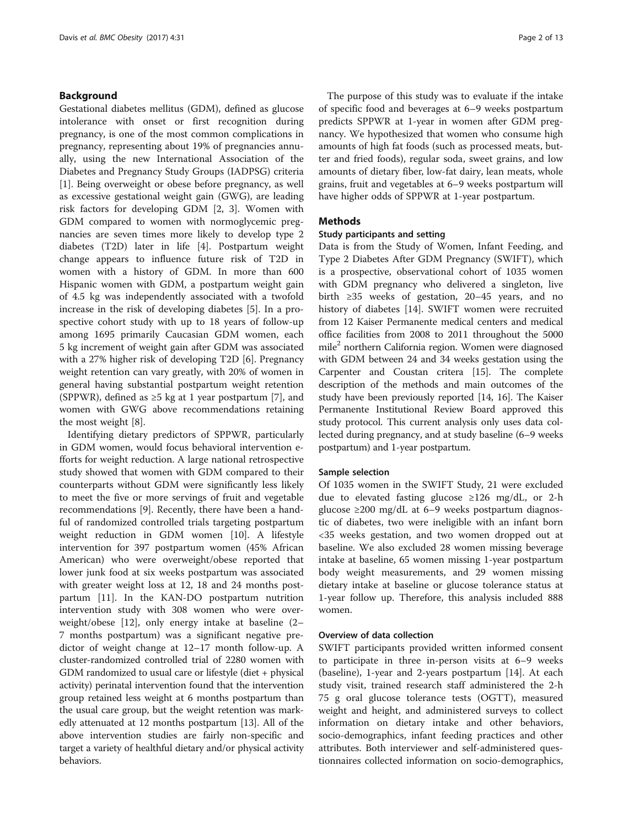## Background

Gestational diabetes mellitus (GDM), defined as glucose intolerance with onset or first recognition during pregnancy, is one of the most common complications in pregnancy, representing about 19% of pregnancies annually, using the new International Association of the Diabetes and Pregnancy Study Groups (IADPSG) criteria [[1\]](#page-11-0). Being overweight or obese before pregnancy, as well as excessive gestational weight gain (GWG), are leading risk factors for developing GDM [\[2, 3](#page-11-0)]. Women with GDM compared to women with normoglycemic pregnancies are seven times more likely to develop type 2 diabetes (T2D) later in life [[4\]](#page-11-0). Postpartum weight change appears to influence future risk of T2D in women with a history of GDM. In more than 600 Hispanic women with GDM, a postpartum weight gain of 4.5 kg was independently associated with a twofold increase in the risk of developing diabetes [[5\]](#page-11-0). In a prospective cohort study with up to 18 years of follow-up among 1695 primarily Caucasian GDM women, each 5 kg increment of weight gain after GDM was associated with a 27% higher risk of developing T2D [[6\]](#page-11-0). Pregnancy weight retention can vary greatly, with 20% of women in general having substantial postpartum weight retention (SPPWR), defined as  $\geq$ 5 kg at 1 year postpartum [\[7](#page-11-0)], and women with GWG above recommendations retaining the most weight [[8\]](#page-11-0).

Identifying dietary predictors of SPPWR, particularly in GDM women, would focus behavioral intervention efforts for weight reduction. A large national retrospective study showed that women with GDM compared to their counterparts without GDM were significantly less likely to meet the five or more servings of fruit and vegetable recommendations [[9\]](#page-11-0). Recently, there have been a handful of randomized controlled trials targeting postpartum weight reduction in GDM women [\[10](#page-11-0)]. A lifestyle intervention for 397 postpartum women (45% African American) who were overweight/obese reported that lower junk food at six weeks postpartum was associated with greater weight loss at 12, 18 and 24 months postpartum [[11](#page-11-0)]. In the KAN-DO postpartum nutrition intervention study with 308 women who were overweight/obese [[12\]](#page-11-0), only energy intake at baseline (2– 7 months postpartum) was a significant negative predictor of weight change at 12–17 month follow-up. A cluster-randomized controlled trial of 2280 women with GDM randomized to usual care or lifestyle (diet + physical activity) perinatal intervention found that the intervention group retained less weight at 6 months postpartum than the usual care group, but the weight retention was markedly attenuated at 12 months postpartum [\[13\]](#page-11-0). All of the above intervention studies are fairly non-specific and target a variety of healthful dietary and/or physical activity behaviors.

The purpose of this study was to evaluate if the intake of specific food and beverages at 6–9 weeks postpartum predicts SPPWR at 1-year in women after GDM pregnancy. We hypothesized that women who consume high amounts of high fat foods (such as processed meats, butter and fried foods), regular soda, sweet grains, and low amounts of dietary fiber, low-fat dairy, lean meats, whole grains, fruit and vegetables at 6–9 weeks postpartum will have higher odds of SPPWR at 1-year postpartum.

### **Methods**

#### Study participants and setting

Data is from the Study of Women, Infant Feeding, and Type 2 Diabetes After GDM Pregnancy (SWIFT), which is a prospective, observational cohort of 1035 women with GDM pregnancy who delivered a singleton, live birth ≥35 weeks of gestation, 20–45 years, and no history of diabetes [[14\]](#page-11-0). SWIFT women were recruited from 12 Kaiser Permanente medical centers and medical office facilities from 2008 to 2011 throughout the 5000 mile<sup>2</sup> northern California region. Women were diagnosed with GDM between 24 and 34 weeks gestation using the Carpenter and Coustan critera [[15](#page-11-0)]. The complete description of the methods and main outcomes of the study have been previously reported [\[14, 16](#page-11-0)]. The Kaiser Permanente Institutional Review Board approved this study protocol. This current analysis only uses data collected during pregnancy, and at study baseline (6–9 weeks postpartum) and 1-year postpartum.

#### Sample selection

Of 1035 women in the SWIFT Study, 21 were excluded due to elevated fasting glucose ≥126 mg/dL, or 2-h glucose ≥200 mg/dL at 6–9 weeks postpartum diagnostic of diabetes, two were ineligible with an infant born <35 weeks gestation, and two women dropped out at baseline. We also excluded 28 women missing beverage intake at baseline, 65 women missing 1-year postpartum body weight measurements, and 29 women missing dietary intake at baseline or glucose tolerance status at 1-year follow up. Therefore, this analysis included 888 women.

#### Overview of data collection

SWIFT participants provided written informed consent to participate in three in-person visits at 6–9 weeks (baseline), 1-year and 2-years postpartum [[14](#page-11-0)]. At each study visit, trained research staff administered the 2-h 75 g oral glucose tolerance tests (OGTT), measured weight and height, and administered surveys to collect information on dietary intake and other behaviors, socio-demographics, infant feeding practices and other attributes. Both interviewer and self-administered questionnaires collected information on socio-demographics,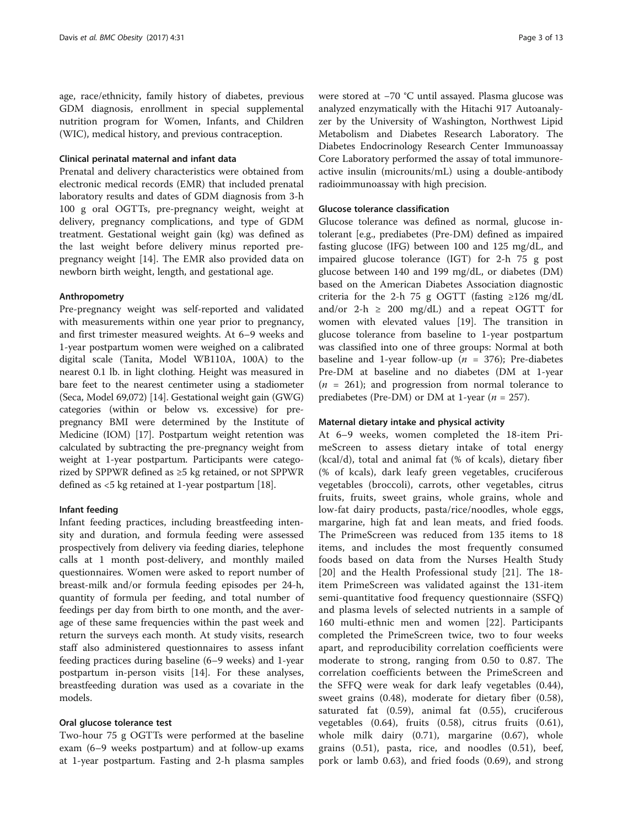age, race/ethnicity, family history of diabetes, previous GDM diagnosis, enrollment in special supplemental nutrition program for Women, Infants, and Children (WIC), medical history, and previous contraception.

#### Clinical perinatal maternal and infant data

Prenatal and delivery characteristics were obtained from electronic medical records (EMR) that included prenatal laboratory results and dates of GDM diagnosis from 3-h 100 g oral OGTTs, pre-pregnancy weight, weight at delivery, pregnancy complications, and type of GDM treatment. Gestational weight gain (kg) was defined as the last weight before delivery minus reported prepregnancy weight [\[14](#page-11-0)]. The EMR also provided data on newborn birth weight, length, and gestational age.

#### Anthropometry

Pre-pregnancy weight was self-reported and validated with measurements within one year prior to pregnancy, and first trimester measured weights. At 6–9 weeks and 1-year postpartum women were weighed on a calibrated digital scale (Tanita, Model WB110A, 100A) to the nearest 0.1 lb. in light clothing. Height was measured in bare feet to the nearest centimeter using a stadiometer (Seca, Model 69,072) [\[14\]](#page-11-0). Gestational weight gain (GWG) categories (within or below vs. excessive) for prepregnancy BMI were determined by the Institute of Medicine (IOM) [\[17](#page-11-0)]. Postpartum weight retention was calculated by subtracting the pre-pregnancy weight from weight at 1-year postpartum. Participants were categorized by SPPWR defined as ≥5 kg retained, or not SPPWR defined as <5 kg retained at 1-year postpartum [\[18\]](#page-11-0).

#### Infant feeding

Infant feeding practices, including breastfeeding intensity and duration, and formula feeding were assessed prospectively from delivery via feeding diaries, telephone calls at 1 month post-delivery, and monthly mailed questionnaires. Women were asked to report number of breast-milk and/or formula feeding episodes per 24-h, quantity of formula per feeding, and total number of feedings per day from birth to one month, and the average of these same frequencies within the past week and return the surveys each month. At study visits, research staff also administered questionnaires to assess infant feeding practices during baseline (6–9 weeks) and 1-year postpartum in-person visits [[14\]](#page-11-0). For these analyses, breastfeeding duration was used as a covariate in the models.

#### Oral glucose tolerance test

Two-hour 75 g OGTTs were performed at the baseline exam (6–9 weeks postpartum) and at follow-up exams at 1-year postpartum. Fasting and 2-h plasma samples were stored at −70 °C until assayed. Plasma glucose was analyzed enzymatically with the Hitachi 917 Autoanalyzer by the University of Washington, Northwest Lipid Metabolism and Diabetes Research Laboratory. The Diabetes Endocrinology Research Center Immunoassay Core Laboratory performed the assay of total immunoreactive insulin (microunits/mL) using a double-antibody radioimmunoassay with high precision.

## Glucose tolerance classification

Glucose tolerance was defined as normal, glucose intolerant [e.g., prediabetes (Pre-DM) defined as impaired fasting glucose (IFG) between 100 and 125 mg/dL, and impaired glucose tolerance (IGT) for 2-h 75 g post glucose between 140 and 199 mg/dL, or diabetes (DM) based on the American Diabetes Association diagnostic criteria for the 2-h 75 g OGTT (fasting  $\geq$ 126 mg/dL and/or 2-h  $\geq$  200 mg/dL) and a repeat OGTT for women with elevated values [\[19](#page-11-0)]. The transition in glucose tolerance from baseline to 1-year postpartum was classified into one of three groups: Normal at both baseline and 1-year follow-up ( $n = 376$ ); Pre-diabetes Pre-DM at baseline and no diabetes (DM at 1-year  $(n = 261)$ ; and progression from normal tolerance to prediabetes (Pre-DM) or DM at 1-year ( $n = 257$ ).

#### Maternal dietary intake and physical activity

At 6–9 weeks, women completed the 18-item PrimeScreen to assess dietary intake of total energy (kcal/d), total and animal fat (% of kcals), dietary fiber (% of kcals), dark leafy green vegetables, cruciferous vegetables (broccoli), carrots, other vegetables, citrus fruits, fruits, sweet grains, whole grains, whole and low-fat dairy products, pasta/rice/noodles, whole eggs, margarine, high fat and lean meats, and fried foods. The PrimeScreen was reduced from 135 items to 18 items, and includes the most frequently consumed foods based on data from the Nurses Health Study [[20](#page-11-0)] and the Health Professional study [\[21](#page-11-0)]. The 18 item PrimeScreen was validated against the 131-item semi-quantitative food frequency questionnaire (SSFQ) and plasma levels of selected nutrients in a sample of 160 multi-ethnic men and women [[22\]](#page-11-0). Participants completed the PrimeScreen twice, two to four weeks apart, and reproducibility correlation coefficients were moderate to strong, ranging from 0.50 to 0.87. The correlation coefficients between the PrimeScreen and the SFFQ were weak for dark leafy vegetables (0.44), sweet grains (0.48), moderate for dietary fiber (0.58), saturated fat (0.59), animal fat (0.55), cruciferous vegetables (0.64), fruits (0.58), citrus fruits (0.61), whole milk dairy (0.71), margarine (0.67), whole grains (0.51), pasta, rice, and noodles (0.51), beef, pork or lamb 0.63), and fried foods (0.69), and strong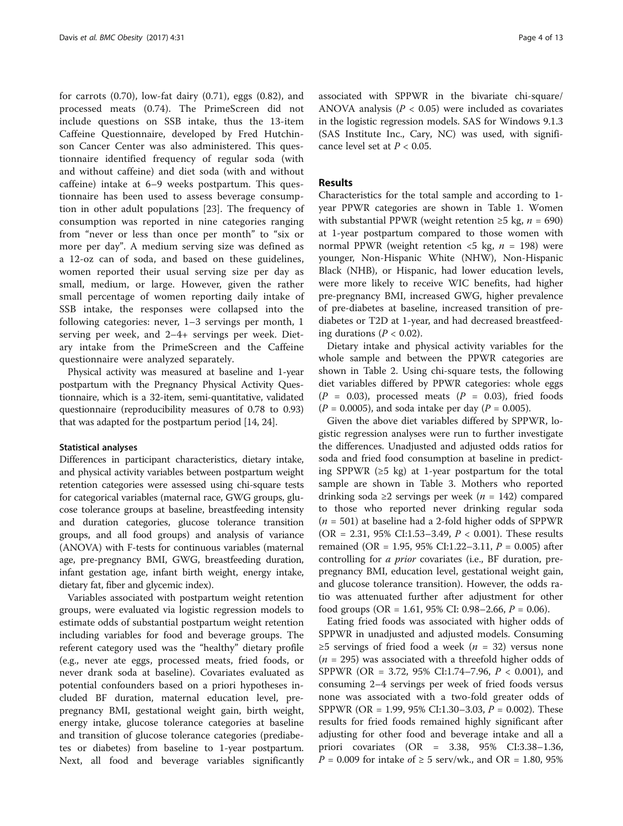for carrots (0.70), low-fat dairy (0.71), eggs (0.82), and processed meats (0.74). The PrimeScreen did not include questions on SSB intake, thus the 13-item Caffeine Questionnaire, developed by Fred Hutchinson Cancer Center was also administered. This questionnaire identified frequency of regular soda (with and without caffeine) and diet soda (with and without caffeine) intake at 6–9 weeks postpartum. This questionnaire has been used to assess beverage consumption in other adult populations [\[23](#page-11-0)]. The frequency of consumption was reported in nine categories ranging from "never or less than once per month" to "six or more per day". A medium serving size was defined as a 12-oz can of soda, and based on these guidelines, women reported their usual serving size per day as small, medium, or large. However, given the rather small percentage of women reporting daily intake of SSB intake, the responses were collapsed into the following categories: never, 1–3 servings per month, 1 serving per week, and 2–4+ servings per week. Dietary intake from the PrimeScreen and the Caffeine questionnaire were analyzed separately.

Physical activity was measured at baseline and 1-year postpartum with the Pregnancy Physical Activity Questionnaire, which is a 32-item, semi-quantitative, validated questionnaire (reproducibility measures of 0.78 to 0.93) that was adapted for the postpartum period [\[14, 24](#page-11-0)].

#### Statistical analyses

Differences in participant characteristics, dietary intake, and physical activity variables between postpartum weight retention categories were assessed using chi-square tests for categorical variables (maternal race, GWG groups, glucose tolerance groups at baseline, breastfeeding intensity and duration categories, glucose tolerance transition groups, and all food groups) and analysis of variance (ANOVA) with F-tests for continuous variables (maternal age, pre-pregnancy BMI, GWG, breastfeeding duration, infant gestation age, infant birth weight, energy intake, dietary fat, fiber and glycemic index).

Variables associated with postpartum weight retention groups, were evaluated via logistic regression models to estimate odds of substantial postpartum weight retention including variables for food and beverage groups. The referent category used was the "healthy" dietary profile (e.g., never ate eggs, processed meats, fried foods, or never drank soda at baseline). Covariates evaluated as potential confounders based on a priori hypotheses included BF duration, maternal education level, prepregnancy BMI, gestational weight gain, birth weight, energy intake, glucose tolerance categories at baseline and transition of glucose tolerance categories (prediabetes or diabetes) from baseline to 1-year postpartum. Next, all food and beverage variables significantly associated with SPPWR in the bivariate chi-square/ ANOVA analysis ( $P < 0.05$ ) were included as covariates in the logistic regression models. SAS for Windows 9.1.3 (SAS Institute Inc., Cary, NC) was used, with significance level set at  $P < 0.05$ .

## Results

Characteristics for the total sample and according to 1 year PPWR categories are shown in Table [1](#page-4-0). Women with substantial PPWR (weight retention ≥5 kg,  $n = 690$ ) at 1-year postpartum compared to those women with normal PPWR (weight retention  $\langle 5 \text{ kg}, n = 198 \rangle$  were younger, Non-Hispanic White (NHW), Non-Hispanic Black (NHB), or Hispanic, had lower education levels, were more likely to receive WIC benefits, had higher pre-pregnancy BMI, increased GWG, higher prevalence of pre-diabetes at baseline, increased transition of prediabetes or T2D at 1-year, and had decreased breastfeeding durations ( $P < 0.02$ ).

Dietary intake and physical activity variables for the whole sample and between the PPWR categories are shown in Table [2](#page-5-0). Using chi-square tests, the following diet variables differed by PPWR categories: whole eggs  $(P = 0.03)$ , processed meats  $(P = 0.03)$ , fried foods  $(P = 0.0005)$ , and soda intake per day  $(P = 0.005)$ .

Given the above diet variables differed by SPPWR, logistic regression analyses were run to further investigate the differences. Unadjusted and adjusted odds ratios for soda and fried food consumption at baseline in predicting SPPWR (≥5 kg) at 1-year postpartum for the total sample are shown in Table [3.](#page-8-0) Mothers who reported drinking soda ≥2 servings per week ( $n = 142$ ) compared to those who reported never drinking regular soda  $(n = 501)$  at baseline had a 2-fold higher odds of SPPWR (OR = 2.31, 95% CI:1.53-3.49,  $P < 0.001$ ). These results remained (OR = 1.95, 95% CI:1.22–3.11,  $P = 0.005$ ) after controlling for a prior covariates (i.e., BF duration, prepregnancy BMI, education level, gestational weight gain, and glucose tolerance transition). However, the odds ratio was attenuated further after adjustment for other food groups (OR = 1.61, 95% CI: 0.98–2.66,  $P = 0.06$ ).

Eating fried foods was associated with higher odds of SPPWR in unadjusted and adjusted models. Consuming ≥5 servings of fried food a week ( $n = 32$ ) versus none  $(n = 295)$  was associated with a threefold higher odds of SPPWR (OR = 3.72, 95% CI:1.74–7.96, P < 0.001), and consuming 2–4 servings per week of fried foods versus none was associated with a two-fold greater odds of SPPWR (OR = 1.99, 95% CI:1.30–3.03,  $P = 0.002$ ). These results for fried foods remained highly significant after adjusting for other food and beverage intake and all a priori covariates (OR = 3.38, 95% CI:3.38–1.36,  $P = 0.009$  for intake of  $\geq 5$  serv/wk., and OR = 1.80, 95%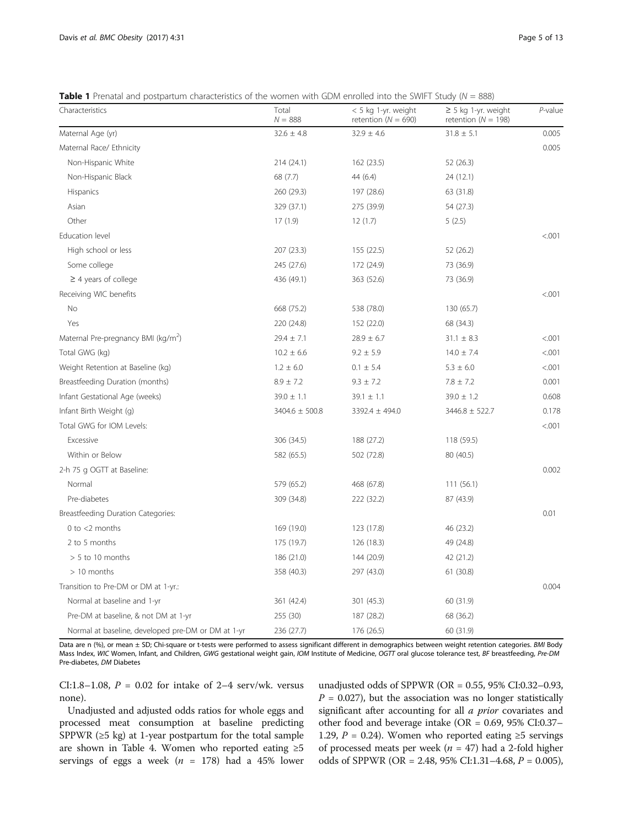<span id="page-4-0"></span>

|  |  | <b>Table 1</b> Prenatal and postpartum characteristics of the women with GDM enrolled into the SWIFT Study ( $N = 888$ ) |  |  |
|--|--|--------------------------------------------------------------------------------------------------------------------------|--|--|
|  |  |                                                                                                                          |  |  |

| Characteristics                                    | Total<br>$N = 888$ | $<$ 5 kg 1-yr. weight<br>retention ( $N = 690$ ) | $\geq$ 5 kg 1-yr. weight<br>retention ( $N = 198$ ) | P-value |
|----------------------------------------------------|--------------------|--------------------------------------------------|-----------------------------------------------------|---------|
| Maternal Age (yr)                                  | $32.6 \pm 4.8$     | $32.9 \pm 4.6$                                   | $31.8 \pm 5.1$                                      | 0.005   |
| Maternal Race/ Ethnicity                           |                    |                                                  |                                                     | 0.005   |
| Non-Hispanic White                                 | 214 (24.1)         | 162 (23.5)                                       | 52 (26.3)                                           |         |
| Non-Hispanic Black                                 | 68 (7.7)           | 44 (6.4)                                         | 24 (12.1)                                           |         |
| Hispanics                                          | 260 (29.3)         | 197 (28.6)                                       | 63 (31.8)                                           |         |
| Asian                                              | 329 (37.1)         | 275 (39.9)                                       | 54 (27.3)                                           |         |
| Other                                              | 17(1.9)            | 12(1.7)                                          | 5(2.5)                                              |         |
| Education level                                    |                    |                                                  |                                                     | < .001  |
| High school or less                                | 207 (23.3)         | 155 (22.5)                                       | 52 (26.2)                                           |         |
| Some college                                       | 245 (27.6)         | 172 (24.9)                                       | 73 (36.9)                                           |         |
| $\geq$ 4 years of college                          | 436 (49.1)         | 363 (52.6)                                       | 73 (36.9)                                           |         |
| Receiving WIC benefits                             |                    |                                                  |                                                     | < 0.001 |
| No                                                 | 668 (75.2)         | 538 (78.0)                                       | 130 (65.7)                                          |         |
| Yes                                                | 220 (24.8)         | 152 (22.0)                                       | 68 (34.3)                                           |         |
| Maternal Pre-pregnancy BMI (kg/m <sup>2</sup> )    | $29.4 \pm 7.1$     | $28.9 \pm 6.7$                                   | $31.1 \pm 8.3$                                      | < .001  |
| Total GWG (kg)                                     | $10.2 \pm 6.6$     | $9.2 \pm 5.9$                                    | $14.0 \pm 7.4$                                      | < .001  |
| Weight Retention at Baseline (kg)                  | $1.2 \pm 6.0$      | $0.1 \pm 5.4$                                    | $5.3 \pm 6.0$                                       | < .001  |
| Breastfeeding Duration (months)                    | $8.9 \pm 7.2$      | $9.3 \pm 7.2$                                    | $7.8 \pm 7.2$                                       | 0.001   |
| Infant Gestational Age (weeks)                     | $39.0 \pm 1.1$     | $39.1 \pm 1.1$                                   | $39.0 \pm 1.2$                                      | 0.608   |
| Infant Birth Weight (g)                            | $3404.6 \pm 500.8$ | 3392.4 ± 494.0                                   | $3446.8 \pm 522.7$                                  | 0.178   |
| Total GWG for IOM Levels:                          |                    |                                                  |                                                     | < .001  |
| Excessive                                          | 306 (34.5)         | 188 (27.2)                                       | 118 (59.5)                                          |         |
| Within or Below                                    | 582 (65.5)         | 502 (72.8)                                       | 80 (40.5)                                           |         |
| 2-h 75 g OGTT at Baseline:                         |                    |                                                  |                                                     | 0.002   |
| Normal                                             | 579 (65.2)         | 468 (67.8)                                       | 111(56.1)                                           |         |
| Pre-diabetes                                       | 309 (34.8)         | 222 (32.2)                                       | 87 (43.9)                                           |         |
| Breastfeeding Duration Categories:                 |                    |                                                  |                                                     | 0.01    |
| $0$ to $<$ 2 months                                | 169 (19.0)         | 123 (17.8)                                       | 46 (23.2)                                           |         |
| 2 to 5 months                                      | 175 (19.7)         | 126 (18.3)                                       | 49 (24.8)                                           |         |
| $> 5$ to 10 months                                 | 186 (21.0)         | 144 (20.9)                                       | 42 (21.2)                                           |         |
| $>10$ months                                       | 358 (40.3)         | 297 (43.0)                                       | 61 (30.8)                                           |         |
| Transition to Pre-DM or DM at 1-yr.:               |                    |                                                  |                                                     | 0.004   |
| Normal at baseline and 1-yr                        | 361 (42.4)         | 301 (45.3)                                       | 60 (31.9)                                           |         |
| Pre-DM at baseline, & not DM at 1-yr               | 255 (30)           | 187 (28.2)                                       | 68 (36.2)                                           |         |
| Normal at baseline, developed pre-DM or DM at 1-yr | 236 (27.7)         | 176 (26.5)                                       | 60 (31.9)                                           |         |

Data are n (%), or mean ± SD; Chi-square or t-tests were performed to assess significant different in demographics between weight retention categories. BMI Body Mass Index, WIC Women, Infant, and Children, GWG gestational weight gain, IOM Institute of Medicine, OGTT oral glucose tolerance test, BF breastfeeding, Pre-DM Pre-diabetes, DM Diabetes

CI:1.8–1.08,  $P = 0.02$  for intake of 2–4 serv/wk. versus none).

Unadjusted and adjusted odds ratios for whole eggs and processed meat consumption at baseline predicting SPPWR (≥5 kg) at 1-year postpartum for the total sample are shown in Table [4.](#page-9-0) Women who reported eating  $\geq 5$ servings of eggs a week ( $n = 178$ ) had a 45% lower unadjusted odds of SPPWR (OR = 0.55, 95% CI:0.32–0.93,  $P = 0.027$ ), but the association was no longer statistically significant after accounting for all a prior covariates and other food and beverage intake (OR = 0.69, 95% CI:0.37– 1.29,  $P = 0.24$ ). Women who reported eating ≥5 servings of processed meats per week ( $n = 47$ ) had a 2-fold higher odds of SPPWR (OR = 2.48, 95% CI:1.31–4.68, P = 0.005),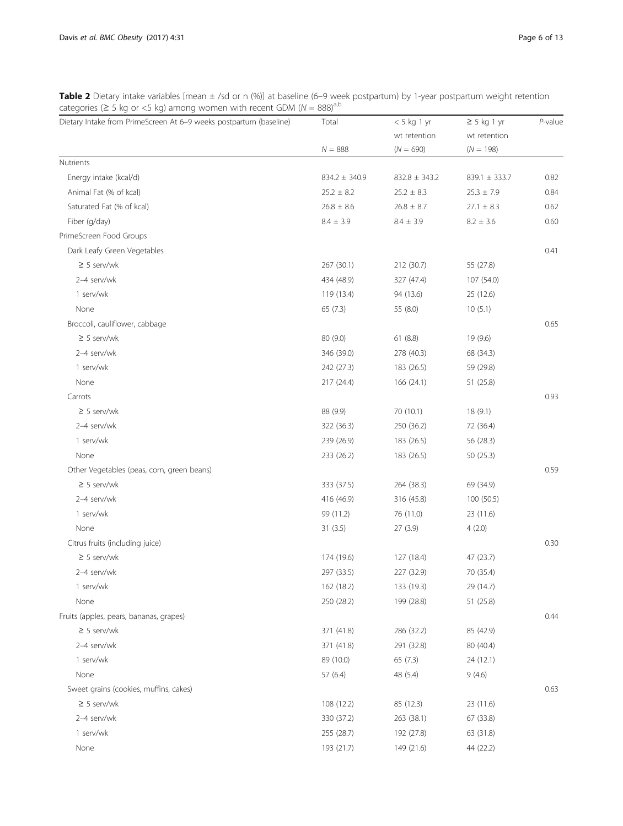<span id="page-5-0"></span>Table 2 Dietary intake variables [mean ± /sd or n (%)] at baseline (6–9 week postpartum) by 1-year postpartum weight retention categories (≥ 5 kg or <5 kg) among women with recent GDM ( $N = 888$ )<sup>a,b</sup>

| wt retention<br>wt retention<br>$N = 888$<br>$(N = 690)$<br>$(N = 198)$<br>Nutrients<br>Energy intake (kcal/d)<br>$834.2 \pm 340.9$<br>$832.8 \pm 343.2$<br>$839.1 \pm 333.7$<br>Animal Fat (% of kcal)<br>$25.2 \pm 8.2$<br>$25.2 \pm 8.3$<br>$25.3 \pm 7.9$<br>Saturated Fat (% of kcal)<br>$26.8 \pm 8.6$<br>$26.8 \pm 8.7$<br>$27.1 \pm 8.3$<br>Fiber (g/day)<br>$8.4 \pm 3.9$<br>$8.4 \pm 3.9$<br>$8.2 \pm 3.6$ | 0.82 |
|----------------------------------------------------------------------------------------------------------------------------------------------------------------------------------------------------------------------------------------------------------------------------------------------------------------------------------------------------------------------------------------------------------------------|------|
|                                                                                                                                                                                                                                                                                                                                                                                                                      |      |
|                                                                                                                                                                                                                                                                                                                                                                                                                      |      |
|                                                                                                                                                                                                                                                                                                                                                                                                                      |      |
|                                                                                                                                                                                                                                                                                                                                                                                                                      |      |
|                                                                                                                                                                                                                                                                                                                                                                                                                      | 0.84 |
|                                                                                                                                                                                                                                                                                                                                                                                                                      | 0.62 |
|                                                                                                                                                                                                                                                                                                                                                                                                                      | 0.60 |
| PrimeScreen Food Groups                                                                                                                                                                                                                                                                                                                                                                                              |      |
| Dark Leafy Green Vegetables                                                                                                                                                                                                                                                                                                                                                                                          | 0.41 |
| $\geq$ 5 serv/wk<br>267 (30.1)<br>212 (30.7)<br>55 (27.8)                                                                                                                                                                                                                                                                                                                                                            |      |
| 2-4 serv/wk<br>434 (48.9)<br>327 (47.4)<br>107 (54.0)                                                                                                                                                                                                                                                                                                                                                                |      |
| 1 serv/wk<br>119 (13.4)<br>94 (13.6)<br>25 (12.6)                                                                                                                                                                                                                                                                                                                                                                    |      |
| None<br>65(7.3)<br>55 (8.0)<br>10(5.1)                                                                                                                                                                                                                                                                                                                                                                               |      |
| Broccoli, cauliflower, cabbage                                                                                                                                                                                                                                                                                                                                                                                       | 0.65 |
| $\geq$ 5 serv/wk<br>61(8.8)<br>80 (9.0)<br>19 (9.6)                                                                                                                                                                                                                                                                                                                                                                  |      |
| 2-4 serv/wk<br>346 (39.0)<br>278 (40.3)<br>68 (34.3)                                                                                                                                                                                                                                                                                                                                                                 |      |
| 1 serv/wk<br>242 (27.3)<br>183 (26.5)<br>59 (29.8)                                                                                                                                                                                                                                                                                                                                                                   |      |
| None<br>217 (24.4)<br>166(24.1)<br>51 (25.8)                                                                                                                                                                                                                                                                                                                                                                         |      |
| Carrots                                                                                                                                                                                                                                                                                                                                                                                                              | 0.93 |
| $\geq$ 5 serv/wk<br>88 (9.9)<br>70 (10.1)<br>18(9.1)                                                                                                                                                                                                                                                                                                                                                                 |      |
| 2-4 serv/wk<br>322 (36.3)<br>250 (36.2)<br>72 (36.4)                                                                                                                                                                                                                                                                                                                                                                 |      |
| 1 serv/wk<br>239 (26.9)<br>183 (26.5)<br>56 (28.3)                                                                                                                                                                                                                                                                                                                                                                   |      |
| None<br>233 (26.2)<br>183 (26.5)<br>50(25.3)                                                                                                                                                                                                                                                                                                                                                                         |      |
| Other Vegetables (peas, corn, green beans)                                                                                                                                                                                                                                                                                                                                                                           | 0.59 |
| $\geq$ 5 serv/wk<br>333 (37.5)<br>264 (38.3)<br>69 (34.9)                                                                                                                                                                                                                                                                                                                                                            |      |
| 2-4 serv/wk<br>416 (46.9)<br>316 (45.8)<br>100 (50.5)                                                                                                                                                                                                                                                                                                                                                                |      |
| 1 serv/wk<br>99 (11.2)<br>76 (11.0)<br>23 (11.6)                                                                                                                                                                                                                                                                                                                                                                     |      |
| None<br>31(3.5)<br>27(3.9)<br>4(2.0)                                                                                                                                                                                                                                                                                                                                                                                 |      |
| Citrus fruits (including juice)                                                                                                                                                                                                                                                                                                                                                                                      | 0.30 |
| $\geq$ 5 serv/wk<br>174 (19.6)<br>127 (18.4)<br>47 (23.7)                                                                                                                                                                                                                                                                                                                                                            |      |
| 2-4 serv/wk<br>297 (33.5)<br>227 (32.9)<br>70 (35.4)                                                                                                                                                                                                                                                                                                                                                                 |      |
| 1 serv/wk<br>162 (18.2)<br>133 (19.3)<br>29 (14.7)                                                                                                                                                                                                                                                                                                                                                                   |      |
| None<br>250 (28.2)<br>199 (28.8)<br>51 (25.8)                                                                                                                                                                                                                                                                                                                                                                        |      |
| Fruits (apples, pears, bananas, grapes)                                                                                                                                                                                                                                                                                                                                                                              | 0.44 |
| $\geq$ 5 serv/wk<br>371 (41.8)<br>286 (32.2)<br>85 (42.9)                                                                                                                                                                                                                                                                                                                                                            |      |
| 2-4 serv/wk<br>371 (41.8)<br>291 (32.8)<br>80 (40.4)                                                                                                                                                                                                                                                                                                                                                                 |      |
| 1 serv/wk<br>89 (10.0)<br>65(7.3)<br>24 (12.1)                                                                                                                                                                                                                                                                                                                                                                       |      |
| None<br>57(6.4)<br>48 (5.4)<br>9(4.6)                                                                                                                                                                                                                                                                                                                                                                                |      |
| Sweet grains (cookies, muffins, cakes)                                                                                                                                                                                                                                                                                                                                                                               | 0.63 |
| $\geq$ 5 serv/wk<br>108 (12.2)<br>85 (12.3)<br>23 (11.6)                                                                                                                                                                                                                                                                                                                                                             |      |
| 2-4 serv/wk<br>330 (37.2)<br>263 (38.1)<br>67 (33.8)                                                                                                                                                                                                                                                                                                                                                                 |      |
| 1 serv/wk<br>255 (28.7)<br>192 (27.8)<br>63 (31.8)                                                                                                                                                                                                                                                                                                                                                                   |      |
| None<br>193 (21.7)<br>149 (21.6)<br>44 (22.2)                                                                                                                                                                                                                                                                                                                                                                        |      |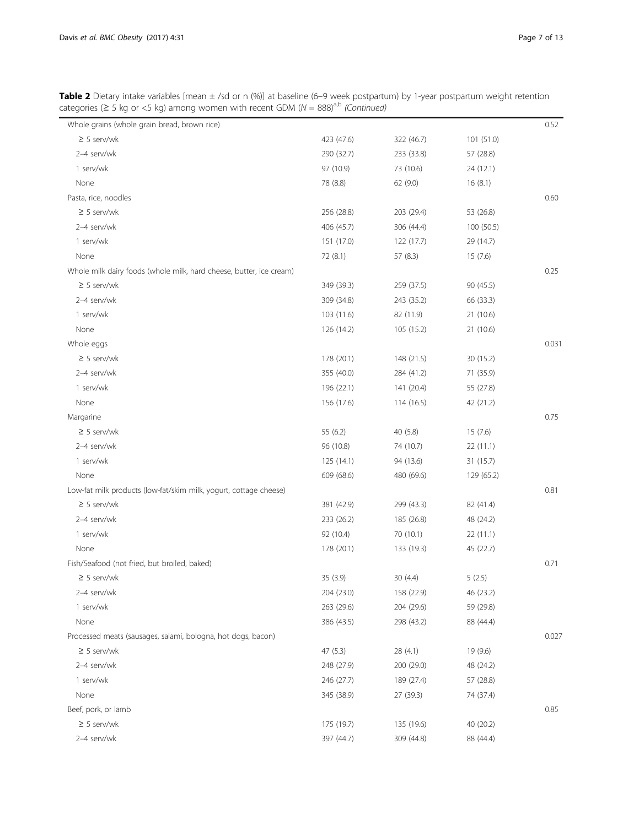| Table 2 Dietary intake variables [mean ± /sd or n (%)] at baseline (6–9 week postpartum) by 1-year postpartum weight retention |
|--------------------------------------------------------------------------------------------------------------------------------|
| categories ( $\geq$ 5 kg or <5 kg) among women with recent GDM ( $N = 888$ ) <sup>a,b</sup> (Continued)                        |

| Whole grains (whole grain bread, brown rice)                        |            |            |            | 0.52  |
|---------------------------------------------------------------------|------------|------------|------------|-------|
| $\geq$ 5 serv/wk                                                    | 423 (47.6) | 322 (46.7) | 101(51.0)  |       |
| 2-4 serv/wk                                                         | 290 (32.7) | 233 (33.8) | 57 (28.8)  |       |
| 1 serv/wk                                                           | 97 (10.9)  | 73 (10.6)  | 24 (12.1)  |       |
| None                                                                | 78 (8.8)   | 62 (9.0)   | 16(8.1)    |       |
| Pasta, rice, noodles                                                |            |            |            | 0.60  |
| $\geq$ 5 serv/wk                                                    | 256 (28.8) | 203 (29.4) | 53 (26.8)  |       |
| 2-4 serv/wk                                                         | 406 (45.7) | 306 (44.4) | 100 (50.5) |       |
| 1 serv/wk                                                           | 151 (17.0) | 122 (17.7) | 29 (14.7)  |       |
| None                                                                | 72 (8.1)   | 57 (8.3)   | 15(7.6)    |       |
| Whole milk dairy foods (whole milk, hard cheese, butter, ice cream) |            |            |            | 0.25  |
| $\geq$ 5 serv/wk                                                    | 349 (39.3) | 259 (37.5) | 90 (45.5)  |       |
| 2-4 serv/wk                                                         | 309 (34.8) | 243 (35.2) | 66 (33.3)  |       |
| 1 serv/wk                                                           | 103 (11.6) | 82 (11.9)  | 21 (10.6)  |       |
| None                                                                | 126 (14.2) | 105 (15.2) | 21 (10.6)  |       |
| Whole eggs                                                          |            |            |            | 0.031 |
| $\geq$ 5 serv/wk                                                    | 178 (20.1) | 148 (21.5) | 30 (15.2)  |       |
| 2-4 serv/wk                                                         | 355 (40.0) | 284 (41.2) | 71 (35.9)  |       |
| 1 serv/wk                                                           | 196 (22.1) | 141 (20.4) | 55 (27.8)  |       |
| None                                                                | 156 (17.6) | 114 (16.5) | 42 (21.2)  |       |
| Margarine                                                           |            |            |            | 0.75  |
| $\geq$ 5 serv/wk                                                    | 55 (6.2)   | 40 (5.8)   | 15(7.6)    |       |
| 2-4 serv/wk                                                         | 96 (10.8)  | 74 (10.7)  | 22 (11.1)  |       |
| 1 serv/wk                                                           | 125 (14.1) | 94 (13.6)  | 31 (15.7)  |       |
| None                                                                | 609 (68.6) | 480 (69.6) | 129 (65.2) |       |
| Low-fat milk products (low-fat/skim milk, yogurt, cottage cheese)   |            |            |            | 0.81  |
| $\geq$ 5 serv/wk                                                    | 381 (42.9) | 299 (43.3) | 82 (41.4)  |       |
| 2-4 serv/wk                                                         | 233 (26.2) | 185 (26.8) | 48 (24.2)  |       |
| 1 serv/wk                                                           | 92 (10.4)  | 70 (10.1)  | 22 (11.1)  |       |
| None                                                                | 178 (20.1) | 133 (19.3) | 45 (22.7)  |       |
| Fish/Seafood (not fried, but broiled, baked)                        |            |            |            | 0.71  |
| $\geq$ 5 serv/wk                                                    | 35 (3.9)   | 30(4.4)    | 5(2.5)     |       |
| 2-4 serv/wk                                                         | 204 (23.0) | 158 (22.9) | 46 (23.2)  |       |
| 1 serv/wk                                                           | 263 (29.6) | 204 (29.6) | 59 (29.8)  |       |
| None                                                                | 386 (43.5) | 298 (43.2) | 88 (44.4)  |       |
| Processed meats (sausages, salami, bologna, hot dogs, bacon)        |            |            |            | 0.027 |
| $\geq$ 5 serv/wk                                                    | 47(5.3)    | 28 (4.1)   | 19 (9.6)   |       |
| 2-4 serv/wk                                                         | 248 (27.9) | 200 (29.0) | 48 (24.2)  |       |
| 1 serv/wk                                                           | 246 (27.7) | 189 (27.4) | 57 (28.8)  |       |
| None                                                                | 345 (38.9) | 27 (39.3)  | 74 (37.4)  |       |
| Beef, pork, or lamb                                                 |            |            |            | 0.85  |
| $\geq$ 5 serv/wk                                                    | 175 (19.7) | 135 (19.6) | 40 (20.2)  |       |
| 2-4 serv/wk                                                         | 397 (44.7) | 309 (44.8) | 88 (44.4)  |       |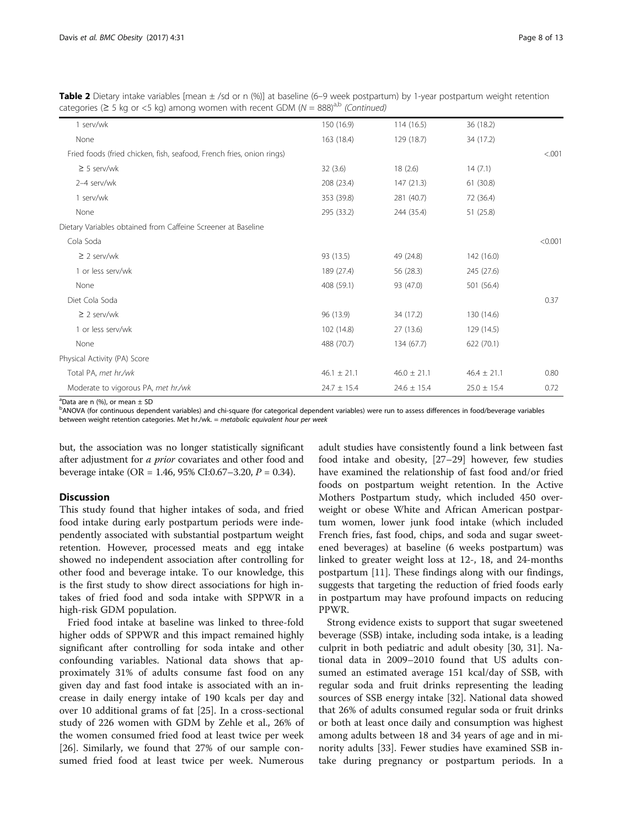Table 2 Dietary intake variables [mean ± /sd or n (%)] at baseline (6–9 week postpartum) by 1-year postpartum weight retention categories ( $\geq$  5 kg or <5 kg) among women with recent GDM ( $N = 888$ )<sup>a,b</sup> (Continued)

| 1 serv/wk                                                             | 150 (16.9)      | 114(16.5)       | 36 (18.2)       |         |
|-----------------------------------------------------------------------|-----------------|-----------------|-----------------|---------|
| None                                                                  | 163 (18.4)      | 129 (18.7)      | 34 (17.2)       |         |
| Fried foods (fried chicken, fish, seafood, French fries, onion rings) |                 |                 |                 | < 0.001 |
| $\geq$ 5 serv/wk                                                      | 32(3.6)         | 18(2.6)         | 14(7.1)         |         |
| 2-4 serv/wk                                                           | 208 (23.4)      | 147 (21.3)      | 61(30.8)        |         |
| 1 serv/wk                                                             | 353 (39.8)      | 281 (40.7)      | 72 (36.4)       |         |
| None                                                                  | 295 (33.2)      | 244 (35.4)      | 51(25.8)        |         |
| Dietary Variables obtained from Caffeine Screener at Baseline         |                 |                 |                 |         |
| Cola Soda                                                             |                 |                 |                 | < 0.001 |
| $\geq$ 2 serv/wk                                                      | 93 (13.5)       | 49 (24.8)       | 142 (16.0)      |         |
| 1 or less serv/wk                                                     | 189 (27.4)      | 56 (28.3)       | 245 (27.6)      |         |
| None                                                                  | 408 (59.1)      | 93 (47.0)       | 501 (56.4)      |         |
| Diet Cola Soda                                                        |                 |                 |                 | 0.37    |
| $\geq$ 2 serv/wk                                                      | 96 (13.9)       | 34 (17.2)       | 130 (14.6)      |         |
| 1 or less serv/wk                                                     | 102 (14.8)      | 27 (13.6)       | 129 (14.5)      |         |
| None                                                                  | 488 (70.7)      | 134 (67.7)      | 622 (70.1)      |         |
| Physical Activity (PA) Score                                          |                 |                 |                 |         |
| Total PA, met hr./wk                                                  | $46.1 \pm 21.1$ | $46.0 \pm 21.1$ | $46.4 \pm 21.1$ | 0.80    |
| Moderate to vigorous PA, met hr./wk                                   | $24.7 \pm 15.4$ | $24.6 \pm 15.4$ | $25.0 \pm 15.4$ | 0.72    |

 $^{\text{a}}$ Data are n (%), or mean  $\pm$  SD

bANOVA (for continuous dependent variables) and chi-square (for categorical dependent variables) were run to assess differences in food/beverage variables between weight retention categories. Met hr./wk. = metabolic equivalent hour per week

but, the association was no longer statistically significant after adjustment for *a prior* covariates and other food and beverage intake (OR = 1.46, 95% CI:0.67–3.20,  $P = 0.34$ ).

## **Discussion**

This study found that higher intakes of soda, and fried food intake during early postpartum periods were independently associated with substantial postpartum weight retention. However, processed meats and egg intake showed no independent association after controlling for other food and beverage intake. To our knowledge, this is the first study to show direct associations for high intakes of fried food and soda intake with SPPWR in a high-risk GDM population.

Fried food intake at baseline was linked to three-fold higher odds of SPPWR and this impact remained highly significant after controlling for soda intake and other confounding variables. National data shows that approximately 31% of adults consume fast food on any given day and fast food intake is associated with an increase in daily energy intake of 190 kcals per day and over 10 additional grams of fat [[25\]](#page-11-0). In a cross-sectional study of 226 women with GDM by Zehle et al., 26% of the women consumed fried food at least twice per week [[26\]](#page-11-0). Similarly, we found that 27% of our sample consumed fried food at least twice per week. Numerous

adult studies have consistently found a link between fast food intake and obesity, [[27](#page-11-0)–[29](#page-11-0)] however, few studies have examined the relationship of fast food and/or fried foods on postpartum weight retention. In the Active Mothers Postpartum study, which included 450 overweight or obese White and African American postpartum women, lower junk food intake (which included French fries, fast food, chips, and soda and sugar sweetened beverages) at baseline (6 weeks postpartum) was linked to greater weight loss at 12-, 18, and 24-months postpartum [\[11](#page-11-0)]. These findings along with our findings, suggests that targeting the reduction of fried foods early in postpartum may have profound impacts on reducing PPWR.

Strong evidence exists to support that sugar sweetened beverage (SSB) intake, including soda intake, is a leading culprit in both pediatric and adult obesity [\[30](#page-11-0), [31\]](#page-11-0). National data in 2009–2010 found that US adults consumed an estimated average 151 kcal/day of SSB, with regular soda and fruit drinks representing the leading sources of SSB energy intake [[32](#page-11-0)]. National data showed that 26% of adults consumed regular soda or fruit drinks or both at least once daily and consumption was highest among adults between 18 and 34 years of age and in minority adults [[33\]](#page-11-0). Fewer studies have examined SSB intake during pregnancy or postpartum periods. In a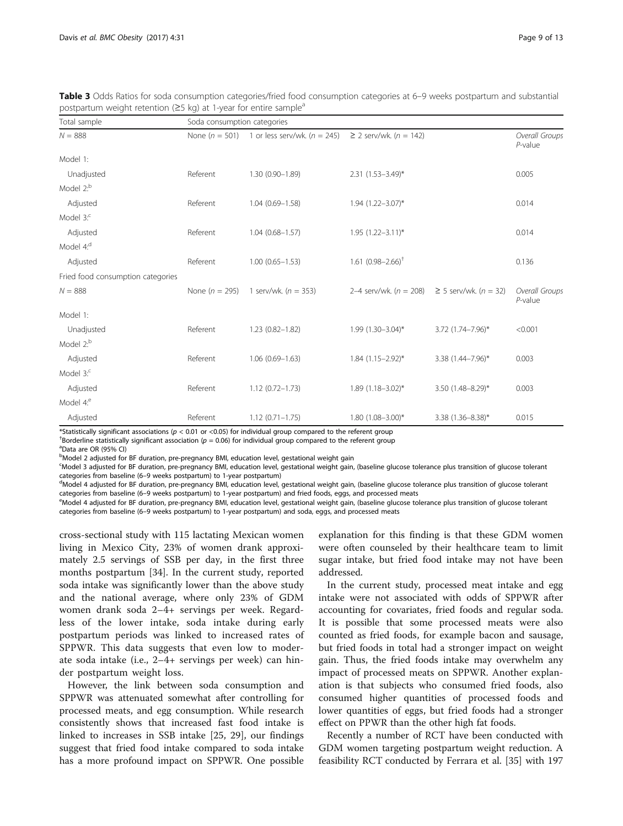| Total sample                      | Soda consumption categories |                                                     |                                                    |                   |                              |  |  |
|-----------------------------------|-----------------------------|-----------------------------------------------------|----------------------------------------------------|-------------------|------------------------------|--|--|
| $N = 888$                         |                             | None ( $n = 501$ ) 1 or less serv/wk. ( $n = 245$ ) | ≥ 2 serv/wk. $(n = 142)$                           |                   | Overall Groups<br>$P$ -value |  |  |
| Model 1:                          |                             |                                                     |                                                    |                   |                              |  |  |
| Unadjusted                        | Referent                    | $1.30(0.90 - 1.89)$                                 | $2.31$ $(1.53 - 3.49)^*$                           |                   | 0.005                        |  |  |
| Model 2: <sup>b</sup>             |                             |                                                     |                                                    |                   |                              |  |  |
| Adjusted                          | Referent                    | $1.04(0.69 - 1.58)$                                 | $1.94$ $(1.22 - 3.07)^*$                           |                   | 0.014                        |  |  |
| Model $3$ . $\degree$             |                             |                                                     |                                                    |                   |                              |  |  |
| Adjusted                          | Referent                    | $1.04(0.68 - 1.57)$                                 | $1.95$ $(1.22 - 3.11)^*$                           |                   | 0.014                        |  |  |
| Model 4: <sup>d</sup>             |                             |                                                     |                                                    |                   |                              |  |  |
| Adjusted                          | Referent                    | $1.00(0.65 - 1.53)$                                 | 1.61 $(0.98 - 2.66)^{\dagger}$                     |                   | 0.136                        |  |  |
| Fried food consumption categories |                             |                                                     |                                                    |                   |                              |  |  |
| $N = 888$                         | None ( $n = 295$ )          | 1 serv/wk. $(n = 353)$                              | 2–4 serv/wk. $(n = 208) \ge 5$ serv/wk. $(n = 32)$ |                   | Overall Groups<br>$P$ -value |  |  |
| Model 1:                          |                             |                                                     |                                                    |                   |                              |  |  |
| Unadjusted                        | Referent                    | $1.23(0.82 - 1.82)$                                 | $1.99(1.30 - 3.04)^{*}$                            | 3.72 (1.74-7.96)* | < 0.001                      |  |  |
| Model 2: <sup>b</sup>             |                             |                                                     |                                                    |                   |                              |  |  |
| Adjusted                          | Referent                    | $1.06(0.69 - 1.63)$                                 | $1.84$ (1.15-2.92)*                                | 3.38 (1.44-7.96)* | 0.003                        |  |  |
| Model $3$ <sup>c</sup>            |                             |                                                     |                                                    |                   |                              |  |  |
| Adjusted                          | Referent                    | $1.12(0.72 - 1.73)$                                 | $1.89(1.18 - 3.02)^{*}$                            | 3.50 (1.48-8.29)* | 0.003                        |  |  |
| Model 4: <sup>e</sup>             |                             |                                                     |                                                    |                   |                              |  |  |
| Adjusted                          | Referent                    | $1.12(0.71 - 1.75)$                                 | $1.80(1.08 - 3.00)^*$                              | 3.38 (1.36-8.38)* | 0.015                        |  |  |

<span id="page-8-0"></span>Table 3 Odds Ratios for soda consumption categories/fried food consumption categories at 6–9 weeks postpartum and substantial postpartum weight retention ( $\geq$ 5 kg) at 1-year for entire sample<sup>a</sup>

\*Statistically significant associations ( $p < 0.01$  or <0.05) for individual group compared to the referent group

<sup>†</sup>Borderline statistically significant association ( $p = 0.06$ ) for individual group compared to the referent group

<sup>a</sup>Data are OR (95% CI)

<sup>b</sup>Model 2 adjusted for BF duration, pre-pregnancy BMI, education level, gestational weight gain

c Model 3 adjusted for BF duration, pre-pregnancy BMI, education level, gestational weight gain, (baseline glucose tolerance plus transition of glucose tolerant categories from baseline (6-9 weeks postpartum) to 1-year postpartum)

<sup>d</sup>Model 4 adjusted for BF duration, pre-pregnancy BMI, education level, gestational weight gain, (baseline glucose tolerance plus transition of glucose tolerant categories from baseline (6-9 weeks postpartum) to 1-year postpartum) and fried foods, eggs, and processed meats

eModel 4 adjusted for BF duration, pre-pregnancy BMI, education level, gestational weight gain, (baseline glucose tolerance plus transition of glucose tolerant categories from baseline (6–9 weeks postpartum) to 1-year postpartum) and soda, eggs, and processed meats

cross-sectional study with 115 lactating Mexican women living in Mexico City, 23% of women drank approximately 2.5 servings of SSB per day, in the first three months postpartum [[34\]](#page-11-0). In the current study, reported soda intake was significantly lower than the above study and the national average, where only 23% of GDM women drank soda 2–4+ servings per week. Regardless of the lower intake, soda intake during early postpartum periods was linked to increased rates of SPPWR. This data suggests that even low to moderate soda intake (i.e., 2–4+ servings per week) can hinder postpartum weight loss.

However, the link between soda consumption and SPPWR was attenuated somewhat after controlling for processed meats, and egg consumption. While research consistently shows that increased fast food intake is linked to increases in SSB intake [\[25, 29](#page-11-0)], our findings suggest that fried food intake compared to soda intake has a more profound impact on SPPWR. One possible explanation for this finding is that these GDM women were often counseled by their healthcare team to limit sugar intake, but fried food intake may not have been addressed.

In the current study, processed meat intake and egg intake were not associated with odds of SPPWR after accounting for covariates, fried foods and regular soda. It is possible that some processed meats were also counted as fried foods, for example bacon and sausage, but fried foods in total had a stronger impact on weight gain. Thus, the fried foods intake may overwhelm any impact of processed meats on SPPWR. Another explanation is that subjects who consumed fried foods, also consumed higher quantities of processed foods and lower quantities of eggs, but fried foods had a stronger effect on PPWR than the other high fat foods.

Recently a number of RCT have been conducted with GDM women targeting postpartum weight reduction. A feasibility RCT conducted by Ferrara et al. [\[35](#page-11-0)] with 197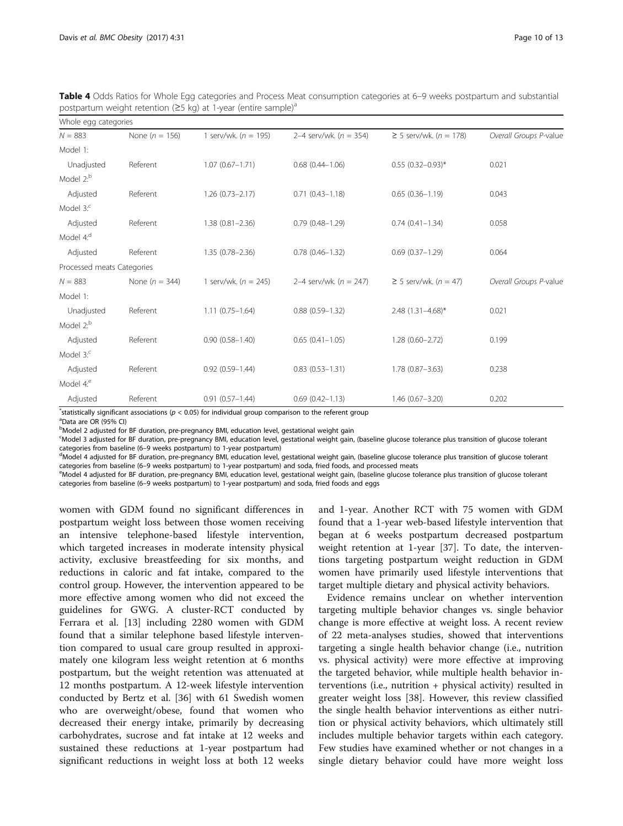| Whole egg categories       |                    |                          |                          |                                  |                        |  |  |  |
|----------------------------|--------------------|--------------------------|--------------------------|----------------------------------|------------------------|--|--|--|
| $N = 883$                  | None ( $n = 156$ ) | 1 serv/wk. ( $n = 195$ ) | 2–4 serv/wk. $(n = 354)$ | $≥ 5$ serv/wk. ( <i>n</i> = 178) | Overall Groups P-value |  |  |  |
| Model 1:                   |                    |                          |                          |                                  |                        |  |  |  |
| Unadjusted                 | Referent           | $1.07(0.67 - 1.71)$      | $0.68$ $(0.44 - 1.06)$   | $0.55$ (0.32-0.93)*              | 0.021                  |  |  |  |
| Model 2: <sup>b</sup>      |                    |                          |                          |                                  |                        |  |  |  |
| Adjusted                   | Referent           | $1.26(0.73 - 2.17)$      | $0.71(0.43 - 1.18)$      | $0.65(0.36 - 1.19)$              | 0.043                  |  |  |  |
| Model $3$ <sup>c</sup>     |                    |                          |                          |                                  |                        |  |  |  |
| Adjusted                   | Referent           | $1.38(0.81 - 2.36)$      | $0.79(0.48 - 1.29)$      | $0.74(0.41 - 1.34)$              | 0.058                  |  |  |  |
| Model 4: <sup>d</sup>      |                    |                          |                          |                                  |                        |  |  |  |
| Adjusted                   | Referent           | $1.35(0.78 - 2.36)$      | $0.78(0.46 - 1.32)$      | $0.69(0.37 - 1.29)$              | 0.064                  |  |  |  |
| Processed meats Categories |                    |                          |                          |                                  |                        |  |  |  |
| $N = 883$                  | None ( $n = 344$ ) | 1 serv/wk. ( $n = 245$ ) | 2–4 serv/wk. $(n = 247)$ | $\geq$ 5 serv/wk. (n = 47)       | Overall Groups P-value |  |  |  |
| Model 1:                   |                    |                          |                          |                                  |                        |  |  |  |
| Unadjusted                 | Referent           | $1.11(0.75 - 1.64)$      | $0.88(0.59 - 1.32)$      | $2.48$ (1.31-4.68)*              | 0.021                  |  |  |  |
| Model 2: <sup>b</sup>      |                    |                          |                          |                                  |                        |  |  |  |
| Adjusted                   | Referent           | $0.90(0.58 - 1.40)$      | $0.65(0.41 - 1.05)$      | $1.28(0.60 - 2.72)$              | 0.199                  |  |  |  |
| Model $3$ <sup>c</sup>     |                    |                          |                          |                                  |                        |  |  |  |
| Adjusted                   | Referent           | $0.92(0.59 - 1.44)$      | $0.83(0.53 - 1.31)$      | $1.78(0.87 - 3.63)$              | 0.238                  |  |  |  |
| Model 4: <sup>e</sup>      |                    |                          |                          |                                  |                        |  |  |  |
| Adjusted                   | Referent           | $0.91(0.57 - 1.44)$      | $0.69(0.42 - 1.13)$      | $1.46(0.67 - 3.20)$              | 0.202                  |  |  |  |

<span id="page-9-0"></span>Table 4 Odds Ratios for Whole Egg categories and Process Meat consumption categories at 6–9 weeks postpartum and substantial postpartum weight retention ( $\geq$ 5 kg) at 1-year (entire sample)<sup>a</sup>

\*statistically significant associations ( $p < 0.05$ ) for individual group comparison to the referent group<br><sup>a</sup>Data are OB (0504 Cl) Data are OR (95% CI)

<sup>b</sup>Model 2 adjusted for BF duration, pre-pregnancy BMI, education level, gestational weight gain

c Model 3 adjusted for BF duration, pre-pregnancy BMI, education level, gestational weight gain, (baseline glucose tolerance plus transition of glucose tolerant categories from baseline (6-9 weeks postpartum) to 1-year postpartum)

<sup>d</sup>Model 4 adjusted for BF duration, pre-pregnancy BMI, education level, gestational weight gain, (baseline glucose tolerance plus transition of glucose tolerant categories from baseline (6–9 weeks postpartum) to 1-year postpartum) and soda, fried foods, and processed meats

eModel 4 adjusted for BF duration, pre-pregnancy BMI, education level, gestational weight gain, (baseline glucose tolerance plus transition of glucose tolerant categories from baseline (6–9 weeks postpartum) to 1-year postpartum) and soda, fried foods and eggs

women with GDM found no significant differences in postpartum weight loss between those women receiving an intensive telephone-based lifestyle intervention, which targeted increases in moderate intensity physical activity, exclusive breastfeeding for six months, and reductions in caloric and fat intake, compared to the control group. However, the intervention appeared to be more effective among women who did not exceed the guidelines for GWG. A cluster-RCT conducted by Ferrara et al. [[13\]](#page-11-0) including 2280 women with GDM found that a similar telephone based lifestyle intervention compared to usual care group resulted in approximately one kilogram less weight retention at 6 months postpartum, but the weight retention was attenuated at 12 months postpartum. A 12-week lifestyle intervention conducted by Bertz et al. [\[36](#page-11-0)] with 61 Swedish women who are overweight/obese, found that women who decreased their energy intake, primarily by decreasing carbohydrates, sucrose and fat intake at 12 weeks and sustained these reductions at 1-year postpartum had significant reductions in weight loss at both 12 weeks and 1-year. Another RCT with 75 women with GDM found that a 1-year web-based lifestyle intervention that began at 6 weeks postpartum decreased postpartum weight retention at 1-year [[37](#page-12-0)]. To date, the interventions targeting postpartum weight reduction in GDM women have primarily used lifestyle interventions that target multiple dietary and physical activity behaviors.

Evidence remains unclear on whether intervention targeting multiple behavior changes vs. single behavior change is more effective at weight loss. A recent review of 22 meta-analyses studies, showed that interventions targeting a single health behavior change (i.e., nutrition vs. physical activity) were more effective at improving the targeted behavior, while multiple health behavior interventions (i.e., nutrition + physical activity) resulted in greater weight loss [[38\]](#page-12-0). However, this review classified the single health behavior interventions as either nutrition or physical activity behaviors, which ultimately still includes multiple behavior targets within each category. Few studies have examined whether or not changes in a single dietary behavior could have more weight loss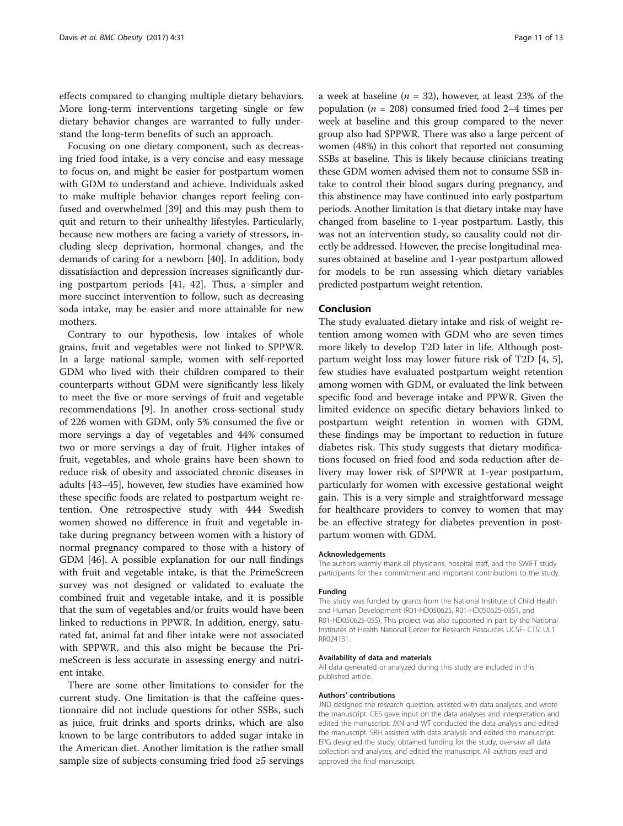effects compared to changing multiple dietary behaviors. More long-term interventions targeting single or few dietary behavior changes are warranted to fully understand the long-term benefits of such an approach.

Focusing on one dietary component, such as decreasing fried food intake, is a very concise and easy message to focus on, and might be easier for postpartum women with GDM to understand and achieve. Individuals asked to make multiple behavior changes report feeling confused and overwhelmed [\[39](#page-12-0)] and this may push them to quit and return to their unhealthy lifestyles. Particularly, because new mothers are facing a variety of stressors, including sleep deprivation, hormonal changes, and the demands of caring for a newborn [\[40](#page-12-0)]. In addition, body dissatisfaction and depression increases significantly during postpartum periods [[41, 42\]](#page-12-0). Thus, a simpler and more succinct intervention to follow, such as decreasing soda intake, may be easier and more attainable for new mothers.

Contrary to our hypothesis, low intakes of whole grains, fruit and vegetables were not linked to SPPWR. In a large national sample, women with self-reported GDM who lived with their children compared to their counterparts without GDM were significantly less likely to meet the five or more servings of fruit and vegetable recommendations [\[9](#page-11-0)]. In another cross-sectional study of 226 women with GDM, only 5% consumed the five or more servings a day of vegetables and 44% consumed two or more servings a day of fruit. Higher intakes of fruit, vegetables, and whole grains have been shown to reduce risk of obesity and associated chronic diseases in adults [[43](#page-12-0)–[45](#page-12-0)], however, few studies have examined how these specific foods are related to postpartum weight retention. One retrospective study with 444 Swedish women showed no difference in fruit and vegetable intake during pregnancy between women with a history of normal pregnancy compared to those with a history of GDM [\[46](#page-12-0)]. A possible explanation for our null findings with fruit and vegetable intake, is that the PrimeScreen survey was not designed or validated to evaluate the combined fruit and vegetable intake, and it is possible that the sum of vegetables and/or fruits would have been linked to reductions in PPWR. In addition, energy, saturated fat, animal fat and fiber intake were not associated with SPPWR, and this also might be because the PrimeScreen is less accurate in assessing energy and nutrient intake.

There are some other limitations to consider for the current study. One limitation is that the caffeine questionnaire did not include questions for other SSBs, such as juice, fruit drinks and sports drinks, which are also known to be large contributors to added sugar intake in the American diet. Another limitation is the rather small sample size of subjects consuming fried food ≥5 servings a week at baseline ( $n = 32$ ), however, at least 23% of the population ( $n = 208$ ) consumed fried food 2–4 times per week at baseline and this group compared to the never group also had SPPWR. There was also a large percent of women (48%) in this cohort that reported not consuming SSBs at baseline. This is likely because clinicians treating these GDM women advised them not to consume SSB intake to control their blood sugars during pregnancy, and this abstinence may have continued into early postpartum periods. Another limitation is that dietary intake may have changed from baseline to 1-year postpartum. Lastly, this was not an intervention study, so causality could not directly be addressed. However, the precise longitudinal measures obtained at baseline and 1-year postpartum allowed for models to be run assessing which dietary variables predicted postpartum weight retention.

### Conclusion

The study evaluated dietary intake and risk of weight retention among women with GDM who are seven times more likely to develop T2D later in life. Although postpartum weight loss may lower future risk of T2D [[4, 5](#page-11-0)], few studies have evaluated postpartum weight retention among women with GDM, or evaluated the link between specific food and beverage intake and PPWR. Given the limited evidence on specific dietary behaviors linked to postpartum weight retention in women with GDM, these findings may be important to reduction in future diabetes risk. This study suggests that dietary modifications focused on fried food and soda reduction after delivery may lower risk of SPPWR at 1-year postpartum, particularly for women with excessive gestational weight gain. This is a very simple and straightforward message for healthcare providers to convey to women that may be an effective strategy for diabetes prevention in postpartum women with GDM.

#### Acknowledgements

The authors warmly thank all physicians, hospital staff, and the SWIFT study participants for their commitment and important contributions to the study.

#### Funding

This study was funded by grants from the National Institute of Child Health and Human Development (R01-HD050625, R01-HD050625-03S1, and R01-HD050625-05S). This project was also supported in part by the National Institutes of Health National Center for Research Resources UCSF- CTSI UL1 RR024131.

#### Availability of data and materials

All data generated or analyzed during this study are included in this published article.

#### Authors' contributions

JND designed the research question, assisted with data analyses, and wrote the manuscript. GES gave input on the data analyses and interpretation and edited the manuscript. JXN and WT conducted the data analysis and edited the manuscript. SRH assisted with data analysis and edited the manuscript. EPG designed the study, obtained funding for the study, oversaw all data collection and analyses, and edited the manuscript. All authors read and approved the final manuscript.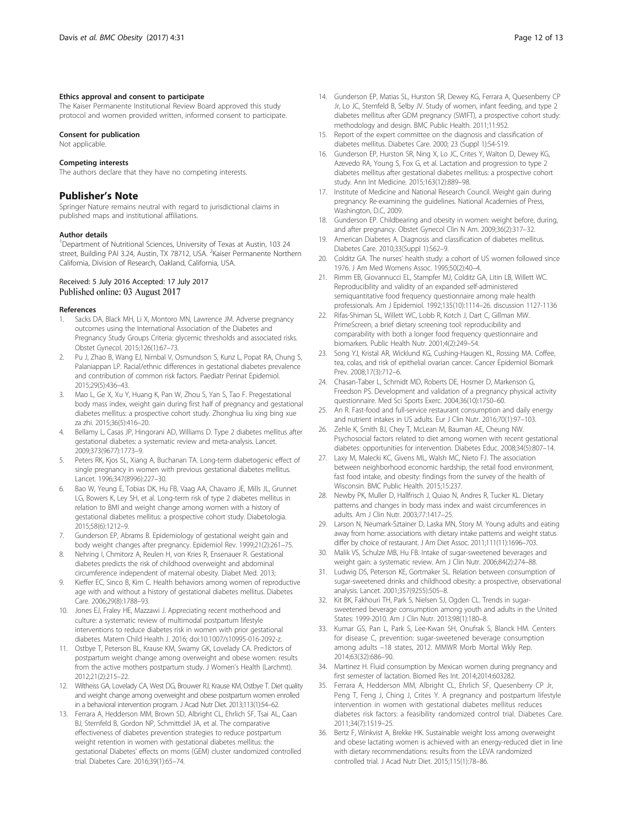#### <span id="page-11-0"></span>Ethics approval and consent to participate

The Kaiser Permanente Institutional Review Board approved this study protocol and women provided written, informed consent to participate.

#### Consent for publication

Not applicable.

#### Competing interests

The authors declare that they have no competing interests.

#### Publisher's Note

Springer Nature remains neutral with regard to jurisdictional claims in published maps and institutional affiliations.

#### Author details

<sup>1</sup>Department of Nutritional Sciences, University of Texas at Austin, 103 24 street, Building PAI 3.24, Austin, TX 78712, USA. <sup>2</sup>Kaiser Permanente Northern California, Division of Research, Oakland, California, USA.

#### Received: 5 July 2016 Accepted: 17 July 2017 Published online: 03 August 2017

#### References

- 1. Sacks DA, Black MH, Li X, Montoro MN, Lawrence JM. Adverse pregnancy outcomes using the International Association of the Diabetes and Pregnancy Study Groups Criteria: glycemic thresholds and associated risks. Obstet Gynecol. 2015;126(1):67–73.
- 2. Pu J, Zhao B, Wang EJ, Nimbal V, Osmundson S, Kunz L, Popat RA, Chung S, Palaniappan LP. Racial/ethnic differences in gestational diabetes prevalence and contribution of common risk factors. Paediatr Perinat Epidemiol. 2015;29(5):436–43.
- Mao L, Ge X, Xu Y, Huang K, Pan W, Zhou S, Yan S, Tao F. Pregestational body mass index, weight gain during first half of pregnancy and gestational diabetes mellitus: a prospective cohort study. Zhonghua liu xing bing xue za zhi. 2015;36(5):416–20.
- 4. Bellamy L, Casas JP, Hingorani AD, Williams D. Type 2 diabetes mellitus after gestational diabetes: a systematic review and meta-analysis. Lancet. 2009;373(9677):1773–9.
- 5. Peters RK, Kjos SL, Xiang A, Buchanan TA. Long-term diabetogenic effect of single pregnancy in women with previous gestational diabetes mellitus. Lancet. 1996;347(8996):227–30.
- 6. Bao W, Yeung E, Tobias DK, Hu FB, Vaag AA, Chavarro JE, Mills JL, Grunnet LG, Bowers K, Ley SH, et al. Long-term risk of type 2 diabetes mellitus in relation to BMI and weight change among women with a history of gestational diabetes mellitus: a prospective cohort study. Diabetologia. 2015;58(6):1212–9.
- Gunderson EP, Abrams B. Epidemiology of gestational weight gain and body weight changes after pregnancy. Epidemiol Rev. 1999;21(2):261–75.
- 8. Nehring I, Chmitorz A, Reulen H, von Kries R, Ensenauer R. Gestational diabetes predicts the risk of childhood overweight and abdominal circumference independent of maternal obesity. Diabet Med. 2013;
- Kieffer EC, Sinco B, Kim C. Health behaviors among women of reproductive age with and without a history of gestational diabetes mellitus. Diabetes Care. 2006;29(8):1788–93.
- 10. Jones EJ, Fraley HE, Mazzawi J. Appreciating recent motherhood and culture: a systematic review of multimodal postpartum lifestyle interventions to reduce diabetes risk in women with prior gestational diabetes. Matern Child Health J. 2016; doi:[10.1007/s10995-016-2092-z](http://dx.doi.org/10.1007/s10995-016-2092-z).
- 11. Ostbye T, Peterson BL, Krause KM, Swamy GK, Lovelady CA. Predictors of postpartum weight change among overweight and obese women: results from the active mothers postpartum study. J Women's Health (Larchmt). 2012;21(2):215–22.
- 12. Wiltheiss GA, Lovelady CA, West DG, Brouwer RJ, Krause KM, Ostbye T. Diet quality and weight change among overweight and obese postpartum women enrolled in a behavioral intervention program. J Acad Nutr Diet. 2013;113(1):54–62.
- 13. Ferrara A, Hedderson MM, Brown SD, Albright CL, Ehrlich SF, Tsai AL, Caan BJ, Sternfeld B, Gordon NP, Schmittdiel JA, et al. The comparative effectiveness of diabetes prevention strategies to reduce postpartum weight retention in women with gestational diabetes mellitus: the gestational Diabetes' effects on moms (GEM) cluster randomized controlled trial. Diabetes Care. 2016;39(1):65–74.
- 14. Gunderson EP, Matias SL, Hurston SR, Dewey KG, Ferrara A, Quesenberry CP Jr, Lo JC, Sternfeld B, Selby JV. Study of women, infant feeding, and type 2 diabetes mellitus after GDM pregnancy (SWIFT), a prospective cohort study: methodology and design. BMC Public Health. 2011;11:952.
- 15. Report of the expert committee on the diagnosis and classification of diabetes mellitus. Diabetes Care. 2000; 23 (Suppl 1):S4-S19.
- 16. Gunderson EP, Hurston SR, Ning X, Lo JC, Crites Y, Walton D, Dewey KG, Azevedo RA, Young S, Fox G, et al. Lactation and progression to type 2 diabetes mellitus after gestational diabetes mellitus: a prospective cohort study. Ann Int Medicine. 2015;163(12):889–98.
- 17. Institute of Medicine and National Research Council. Weight gain during pregnancy: Re-examining the guidelines. National Academies of Press, Washington, D.C, 2009.
- 18. Gunderson EP. Childbearing and obesity in women: weight before, during, and after pregnancy. Obstet Gynecol Clin N Am. 2009;36(2):317–32.
- 19. American Diabetes A. Diagnosis and classification of diabetes mellitus. Diabetes Care. 2010;33(Suppl 1):S62–9.
- 20. Colditz GA. The nurses' health study: a cohort of US women followed since 1976. J Am Med Womens Assoc. 1995;50(2):40–4.
- 21. Rimm EB, Giovannucci EL, Stampfer MJ, Colditz GA, Litin LB, Willett WC. Reproducibility and validity of an expanded self-administered semiquantitative food frequency questionnaire among male health professionals. Am J Epidemiol. 1992;135(10):1114–26. discussion 1127-1136
- 22. Rifas-Shiman SL, Willett WC, Lobb R, Kotch J, Dart C, Gillman MW. PrimeScreen, a brief dietary screening tool: reproducibility and comparability with both a longer food frequency questionnaire and biomarkers. Public Health Nutr. 2001;4(2):249–54.
- 23. Song YJ, Kristal AR, Wicklund KG, Cushing-Haugen KL, Rossing MA. Coffee, tea, colas, and risk of epithelial ovarian cancer. Cancer Epidemiol Biomark Prev. 2008;17(3):712–6.
- 24. Chasan-Taber L, Schmidt MD, Roberts DE, Hosmer D, Markenson G, Freedson PS. Development and validation of a pregnancy physical activity questionnaire. Med Sci Sports Exerc. 2004;36(10):1750–60.
- 25. An R. Fast-food and full-service restaurant consumption and daily energy and nutrient intakes in US adults. Eur J Clin Nutr. 2016;70(1):97–103.
- 26. Zehle K, Smith BJ, Chey T, McLean M, Bauman AE, Cheung NW. Psychosocial factors related to diet among women with recent gestational diabetes: opportunities for intervention. Diabetes Educ. 2008;34(5):807–14.
- 27. Laxy M, Malecki KC, Givens ML, Walsh MC, Nieto FJ. The association between neighborhood economic hardship, the retail food environment, fast food intake, and obesity: findings from the survey of the health of Wisconsin. BMC Public Health. 2015;15:237.
- 28. Newby PK, Muller D, Hallfrisch J, Quiao N, Andres R, Tucker KL. Dietary patterns and changes in body mass index and waist circumferences in adults. Am J Clin Nutr. 2003;77:1417–25.
- 29. Larson N, Neumark-Sztainer D, Laska MN, Story M. Young adults and eating away from home: associations with dietary intake patterns and weight status differ by choice of restaurant. J Am Diet Assoc. 2011;111(11):1696–703.
- 30. Malik VS, Schulze MB, Hu FB. Intake of sugar-sweetened beverages and weight gain: a systematic review. Am J Clin Nutr. 2006;84(2):274–88.
- 31. Ludwig DS, Peterson KE, Gortmaker SL. Relation between consumption of sugar-sweetened drinks and childhood obesity: a prospective, observational analysis. Lancet. 2001;357(9255):505–8.
- 32. Kit BK, Fakhouri TH, Park S, Nielsen SJ, Ogden CL. Trends in sugarsweetened beverage consumption among youth and adults in the United States: 1999-2010. Am J Clin Nutr. 2013;98(1):180–8.
- 33. Kumar GS, Pan L, Park S, Lee-Kwan SH, Onufrak S, Blanck HM. Centers for disease C, prevention: sugar-sweetened beverage consumption among adults –18 states, 2012. MMWR Morb Mortal Wkly Rep. 2014;63(32):686–90.
- 34. Martinez H. Fluid consumption by Mexican women during pregnancy and first semester of lactation. Biomed Res Int. 2014;2014:603282.
- 35. Ferrara A, Hedderson MM, Albright CL, Ehrlich SF, Quesenberry CP Jr, Peng T, Feng J, Ching J, Crites Y. A pregnancy and postpartum lifestyle intervention in women with gestational diabetes mellitus reduces diabetes risk factors: a feasibility randomized control trial. Diabetes Care. 2011;34(7):1519–25.
- 36. Bertz F, Winkvist A, Brekke HK. Sustainable weight loss among overweight and obese lactating women is achieved with an energy-reduced diet in line with dietary recommendations: results from the LEVA randomized controlled trial. J Acad Nutr Diet. 2015;115(1):78–86.